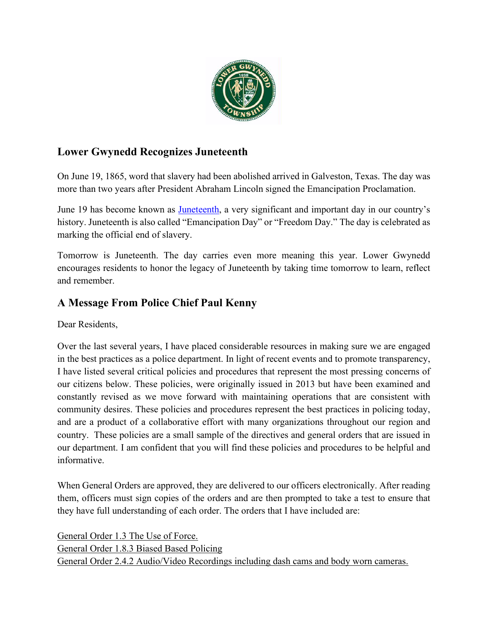

# **Lower Gwynedd Recognizes Juneteenth**

On June 19, 1865, word that slavery had been abolished arrived in Galveston, Texas. The day was more than two years after President Abraham Lincoln signed the Emancipation Proclamation.

June 19 has become known as [Juneteenth,](https://en.wikipedia.org/wiki/Juneteenth) a very significant and important day in our country's history. Juneteenth is also called "Emancipation Day" or "Freedom Day." The day is celebrated as marking the official end of slavery.

Tomorrow is Juneteenth. The day carries even more meaning this year. Lower Gwynedd encourages residents to honor the legacy of Juneteenth by taking time tomorrow to learn, reflect and remember.

## **A Message From Police Chief Paul Kenny**

Dear Residents,

Over the last several years, I have placed considerable resources in making sure we are engaged in the best practices as a police department. In light of recent events and to promote transparency, I have listed several critical policies and procedures that represent the most pressing concerns of our citizens below. These policies, were originally issued in 2013 but have been examined and constantly revised as we move forward with maintaining operations that are consistent with community desires. These policies and procedures represent the best practices in policing today, and are a product of a collaborative effort with many organizations throughout our region and country. These policies are a small sample of the directives and general orders that are issued in our department. I am confident that you will find these policies and procedures to be helpful and informative.

When General Orders are approved, they are delivered to our officers electronically. After reading them, officers must sign copies of the orders and are then prompted to take a test to ensure that they have full understanding of each order. The orders that I have included are:

[General](https://www.lowergwynedd.org/media/38057/police-go-13-use-of-force.pdf) Order 1.3 The Use of Force. General Order 1.8.3 Biased Based [Policing](https://www.lowergwynedd.org/media/38056/police-go-18-biased-based-policing.pdf) General Order 2.4.2 [Audio/Video](https://www.lowergwynedd.org/media/38055/police-go-24-body-worn-cameras.pdf) Recordings including dash cams and body worn cameras.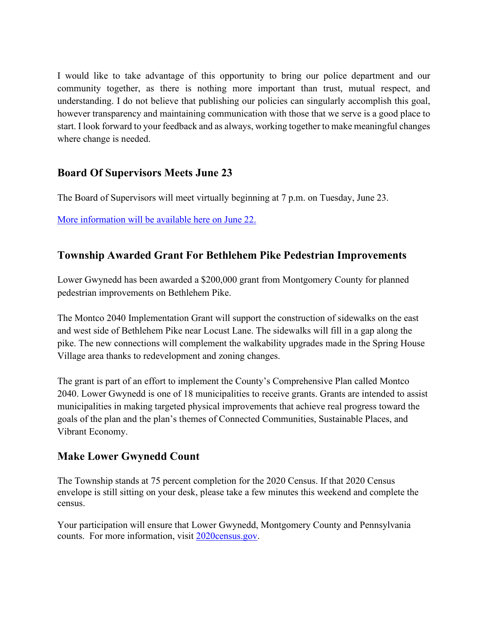I would like to take advantage of this opportunity to bring our police department and our community together, as there is nothing more important than trust, mutual respect, and understanding. I do not believe that publishing our policies can singularly accomplish this goal, however transparency and maintaining communication with those that we serve is a good place to start. I look forward to your feedback and as always, working together to make meaningful changes where change is needed.

## **Board Of Supervisors Meets June 23**

The Board of Supervisors will meet virtually beginning at 7 p.m. on Tuesday, June 23.

[More information will be available here on June 22.](https://www.lowergwynedd.org/website-resources/calendar.aspx)

## **Township Awarded Grant For Bethlehem Pike Pedestrian Improvements**

Lower Gwynedd has been awarded a \$200,000 grant from Montgomery County for planned pedestrian improvements on Bethlehem Pike.

The Montco 2040 Implementation Grant will support the construction of sidewalks on the east and west side of Bethlehem Pike near Locust Lane. The sidewalks will fill in a gap along the pike. The new connections will complement the walkability upgrades made in the Spring House Village area thanks to redevelopment and zoning changes.

The grant is part of an effort to implement the County's Comprehensive Plan called Montco 2040. Lower Gwynedd is one of 18 municipalities to receive grants. Grants are intended to assist municipalities in making targeted physical improvements that achieve real progress toward the goals of the plan and the plan's themes of Connected Communities, Sustainable Places, and Vibrant Economy.

## **Make Lower Gwynedd Count**

The Township stands at 75 percent completion for the 2020 Census. If that 2020 Census envelope is still sitting on your desk, please take a few minutes this weekend and complete the census.

Your participation will ensure that Lower Gwynedd, Montgomery County and Pennsylvania counts. For more information, visit [2020census.gov.](https://2020census.gov/)